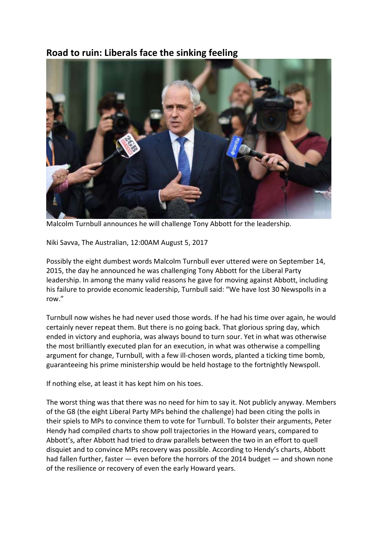## **Road to ruin: Liberals face the sinking feeling**



Malcolm Turnbull announces he will challenge Tony Abbott for the leadership.

Niki Savva, The Australian, 12:00AM August 5, 2017

Possibly the eight dumbest words Malcolm Turnbull ever uttered were on September 14, 2015, the day he announced he was challenging Tony Abbott for the Liberal Party leadership. In among the many valid reasons he gave for moving against Abbott, including his failure to provide economic leadership, Turnbull said: "We have lost 30 Newspolls in a row."

Turnbull now wishes he had never used those words. If he had his time over again, he would certainly never repeat them. But there is no going back. That glorious spring day, which ended in victory and euphoria, was always bound to turn sour. Yet in what was otherwise the most brilliantly executed plan for an execution, in what was otherwise a compelling argument for change, Turnbull, with a few ill-chosen words, planted a ticking time bomb, guaranteeing his prime ministership would be held hostage to the fortnightly Newspoll.

If nothing else, at least it has kept him on his toes.

The worst thing was that there was no need for him to say it. Not publicly anyway. Members of the G8 (the eight Liberal Party MPs behind the challenge) had been citing the polls in their spiels to MPs to convince them to vote for Turnbull. To bolster their arguments, Peter Hendy had compiled charts to show poll trajectories in the Howard years, compared to Abbott's, after Abbott had tried to draw parallels between the two in an effort to quell disquiet and to convince MPs recovery was possible. According to Hendy's charts, Abbott had fallen further, faster — even before the horrors of the 2014 budget — and shown none of the resilience or recovery of even the early Howard years.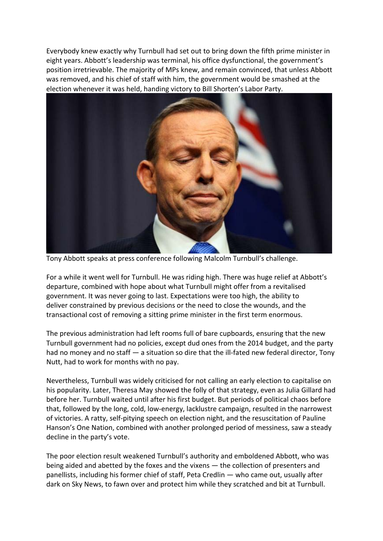Everybody knew exactly why Turnbull had set out to bring down the fifth prime minister in eight years. Abbott's leadership was terminal, his office dysfunctional, the government's position irretrievable. The majority of MPs knew, and remain convinced, that unless Abbott was removed, and his chief of staff with him, the government would be smashed at the election whenever it was held, handing victory to Bill Shorten's Labor Party.



Tony Abbott speaks at press conference following Malcolm Turnbull's challenge.

For a while it went well for Turnbull. He was riding high. There was huge relief at Abbott's departure, combined with hope about what Turnbull might offer from a revitalised government. It was never going to last. Expectations were too high, the ability to deliver constrained by previous decisions or the need to close the wounds, and the transactional cost of removing a sitting prime minister in the first term enormous.

The previous administration had left rooms full of bare cupboards, ensuring that the new Turnbull government had no policies, except dud ones from the 2014 budget, and the party had no money and no staff — a situation so dire that the ill-fated new federal director, Tony Nutt, had to work for months with no pay.

Nevertheless, Turnbull was widely criticised for not calling an early election to capitalise on his popularity. Later, Theresa May showed the folly of that strategy, even as Julia Gillard had before her. Turnbull waited until after his first budget. But periods of political chaos before that, followed by the long, cold, low-energy, lacklustre campaign, resulted in the narrowest of victories. A ratty, self-pitying speech on election night, and the resuscitation of Pauline Hanson's One Nation, combined with another prolonged period of messiness, saw a steady decline in the party's vote.

The poor election result weakened Turnbull's authority and emboldened Abbott, who was being aided and abetted by the foxes and the vixens — the collection of presenters and panellists, including his former chief of staff, Peta Credlin — who came out, usually after dark on Sky News, to fawn over and protect him while they scratched and bit at Turnbull.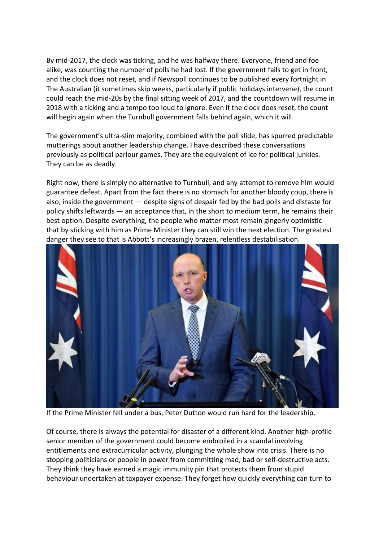By mid-2017, the clock was ticking, and he was halfway there. Everyone, friend and foe alike, was counting the number of polls he had lost. If the government fails to get in front, and the clock does not reset, and if Newspoll continues to be published every fortnight in The Australian (it sometimes skip weeks, particularly if public holidays intervene), the count could reach the mid-20s by the final sitting week of 2017, and the countdown will resume in 2018 with a ticking and a tempo too loud to ignore. Even if the clock does reset, the count will begin again when the Turnbull government falls behind again, which it will.

The government's ultra-slim majority, combined with the poll slide, has spurred predictable mutterings about another leadership change. I have described these conversations previously as political parlour games. They are the equivalent of ice for political junkies. They can be as deadly.

Right now, there is simply no alternative to Turnbull, and any attempt to remove him would guarantee defeat. Apart from the fact there is no stomach for another bloody coup, there is also, inside the government — despite signs of despair fed by the bad polls and distaste for policy shifts leftwards — an acceptance that, in the short to medium term, he remains their best option. Despite everything, the people who matter most remain gingerly optimistic that by sticking with him as Prime Minister they can still win the next election. The greatest danger they see to that is Abbott's increasingly brazen, relentless destabilisation.



If the Prime Minister fell under a bus, Peter Dutton would run hard for the leadership.

Of course, there is always the potential for disaster of a different kind. Another high-profile senior member of the government could become embroiled in a scandal involving entitlements and extracurricular activity, plunging the whole show into crisis. There is no stopping politicians or people in power from committing mad, bad or self-destructive acts. They think they have earned a magic immunity pin that protects them from stupid behaviour undertaken at taxpayer expense. They forget how quickly everything can turn to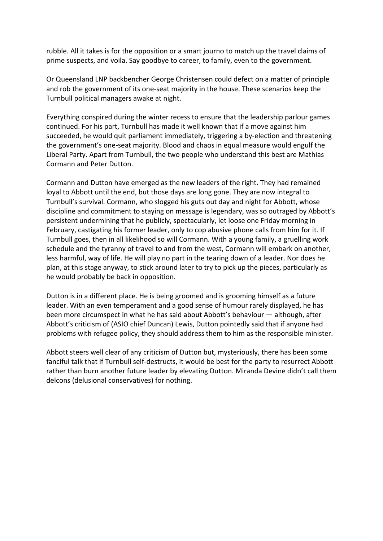rubble. All it takes is for the opposition or a smart journo to match up the travel claims of prime suspects, and voila. Say goodbye to career, to family, even to the government.

Or Queensland LNP backbencher George Christensen could defect on a matter of principle and rob the government of its one-seat majority in the house. These scenarios keep the Turnbull political managers awake at night.

Everything conspired during the winter recess to ensure that the leadership parlour games continued. For his part, Turnbull has made it well known that if a move against him succeeded, he would quit parliament immediately, triggering a by-election and threatening the government's one-seat majority. Blood and chaos in equal measure would engulf the Liberal Party. Apart from Turnbull, the two people who understand this best are Mathias Cormann and Peter Dutton.

Cormann and Dutton have emerged as the new leaders of the right. They had remained loyal to Abbott until the end, but those days are long gone. They are now integral to Turnbull's survival. Cormann, who slogged his guts out day and night for Abbott, whose discipline and commitment to staying on message is legendary, was so outraged by Abbott's persistent undermining that he publicly, spectacularly, let loose one Friday morning in February, castigating his former leader, only to cop abusive phone calls from him for it. If Turnbull goes, then in all likelihood so will Cormann. With a young family, a gruelling work schedule and the tyranny of travel to and from the west, Cormann will embark on another, less harmful, way of life. He will play no part in the tearing down of a leader. Nor does he plan, at this stage anyway, to stick around later to try to pick up the pieces, particularly as he would probably be back in opposition.

Dutton is in a different place. He is being groomed and is grooming himself as a future leader. With an even temperament and a good sense of humour rarely displayed, he has been more circumspect in what he has said about Abbott's behaviour — although, after Abbott's criticism of (ASIO chief Duncan) Lewis, Dutton pointedly said that if anyone had problems with refugee policy, they should address them to him as the responsible minister.

Abbott steers well clear of any criticism of Dutton but, mysteriously, there has been some fanciful talk that if Turnbull self-destructs, it would be best for the party to resurrect Abbott rather than burn another future leader by elevating Dutton. Miranda Devine didn't call them delcons (delusional conservatives) for nothing.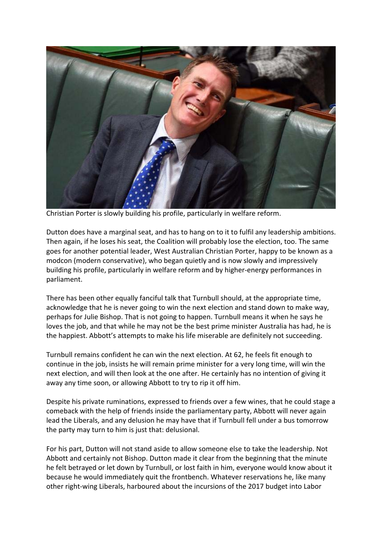

Christian Porter is slowly building his profile, particularly in welfare reform.

Dutton does have a marginal seat, and has to hang on to it to fulfil any leadership ambitions. Then again, if he loses his seat, the Coalition will probably lose the election, too. The same goes for another potential leader, West Australian Christian Porter, happy to be known as a modcon (modern conservative), who began quietly and is now slowly and impressively building his profile, particularly in welfare reform and by higher-energy performances in parliament.

There has been other equally fanciful talk that Turnbull should, at the appropriate time, acknowledge that he is never going to win the next election and stand down to make way, perhaps for Julie Bishop. That is not going to happen. Turnbull means it when he says he loves the job, and that while he may not be the best prime minister Australia has had, he is the happiest. Abbott's attempts to make his life miserable are definitely not succeeding.

Turnbull remains confident he can win the next election. At 62, he feels fit enough to continue in the job, insists he will remain prime minister for a very long time, will win the next election, and will then look at the one after. He certainly has no intention of giving it away any time soon, or allowing Abbott to try to rip it off him.

Despite his private ruminations, expressed to friends over a few wines, that he could stage a comeback with the help of friends inside the parliamentary party, Abbott will never again lead the Liberals, and any delusion he may have that if Turnbull fell under a bus tomorrow the party may turn to him is just that: delusional.

For his part, Dutton will not stand aside to allow someone else to take the leadership. Not Abbott and certainly not Bishop. Dutton made it clear from the beginning that the minute he felt betrayed or let down by Turnbull, or lost faith in him, everyone would know about it because he would immediately quit the frontbench. Whatever reservations he, like many other right-wing Liberals, harboured about the incursions of the 2017 budget into Labor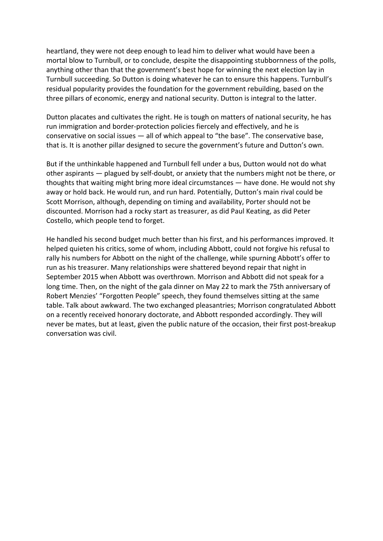heartland, they were not deep enough to lead him to deliver what would have been a mortal blow to Turnbull, or to conclude, despite the disappointing stubbornness of the polls, anything other than that the government's best hope for winning the next election lay in Turnbull succeeding. So Dutton is doing whatever he can to ensure this happens. Turnbull's residual popularity provides the foundation for the government rebuilding, based on the three pillars of economic, energy and national security. Dutton is integral to the latter.

Dutton placates and cultivates the right. He is tough on matters of national security, he has run immigration and border-protection policies fiercely and effectively, and he is conservative on social issues — all of which appeal to "the base". The conservative base, that is. It is another pillar designed to secure the government's future and Dutton's own.

But if the unthinkable happened and Turnbull fell under a bus, Dutton would not do what other aspirants — plagued by self-doubt, or anxiety that the numbers might not be there, or thoughts that waiting might bring more ideal circumstances — have done. He would not shy away or hold back. He would run, and run hard. Potentially, Dutton's main rival could be Scott Morrison, although, depending on timing and availability, Porter should not be discounted. Morrison had a rocky start as treasurer, as did Paul Keating, as did Peter Costello, which people tend to forget.

He handled his second budget much better than his first, and his performances improved. It helped quieten his critics, some of whom, including Abbott, could not forgive his refusal to rally his numbers for Abbott on the night of the challenge, while spurning Abbott's offer to run as his treasurer. Many relationships were shattered beyond repair that night in September 2015 when Abbott was overthrown. Morrison and Abbott did not speak for a long time. Then, on the night of the gala dinner on May 22 to mark the 75th anniversary of Robert Menzies' "Forgotten People" speech, they found themselves sitting at the same table. Talk about awkward. The two exchanged pleasantries; Morrison congratulated Abbott on a recently received honorary doctorate, and Abbott responded accordingly. They will never be mates, but at least, given the public nature of the occasion, their first post-breakup conversation was civil.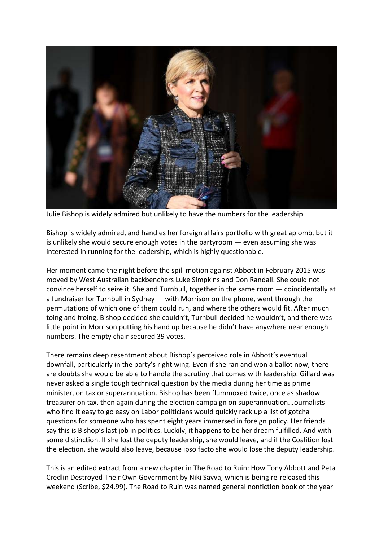

Julie Bishop is widely admired but unlikely to have the numbers for the leadership.

Bishop is widely admired, and handles her foreign affairs portfolio with great aplomb, but it is unlikely she would secure enough votes in the partyroom — even assuming she was interested in running for the leadership, which is highly questionable.

Her moment came the night before the spill motion against Abbott in February 2015 was moved by West Australian backbenchers Luke Simpkins and Don Randall. She could not convince herself to seize it. She and Turnbull, together in the same room — coincidentally at a fundraiser for Turnbull in Sydney — with Morrison on the phone, went through the permutations of which one of them could run, and where the others would fit. After much toing and froing, Bishop decided she couldn't, Turnbull decided he wouldn't, and there was little point in Morrison putting his hand up because he didn't have anywhere near enough numbers. The empty chair secured 39 votes.

There remains deep resentment about Bishop's perceived role in Abbott's eventual downfall, particularly in the party's right wing. Even if she ran and won a ballot now, there are doubts she would be able to handle the scrutiny that comes with leadership. Gillard was never asked a single tough technical question by the media during her time as prime minister, on tax or superannuation. Bishop has been flummoxed twice, once as shadow treasurer on tax, then again during the election campaign on superannuation. Journalists who find it easy to go easy on Labor politicians would quickly rack up a list of gotcha questions for someone who has spent eight years immersed in foreign policy. Her friends say this is Bishop's last job in politics. Luckily, it happens to be her dream fulfilled. And with some distinction. If she lost the deputy leadership, she would leave, and if the Coalition lost the election, she would also leave, because ipso facto she would lose the deputy leadership.

This is an edited extract from a new chapter in The Road to Ruin: How Tony Abbott and Peta Credlin Destroyed Their Own Government by Niki Savva, which is being re-released this weekend (Scribe, \$24.99). The Road to Ruin was named general nonfiction book of the year